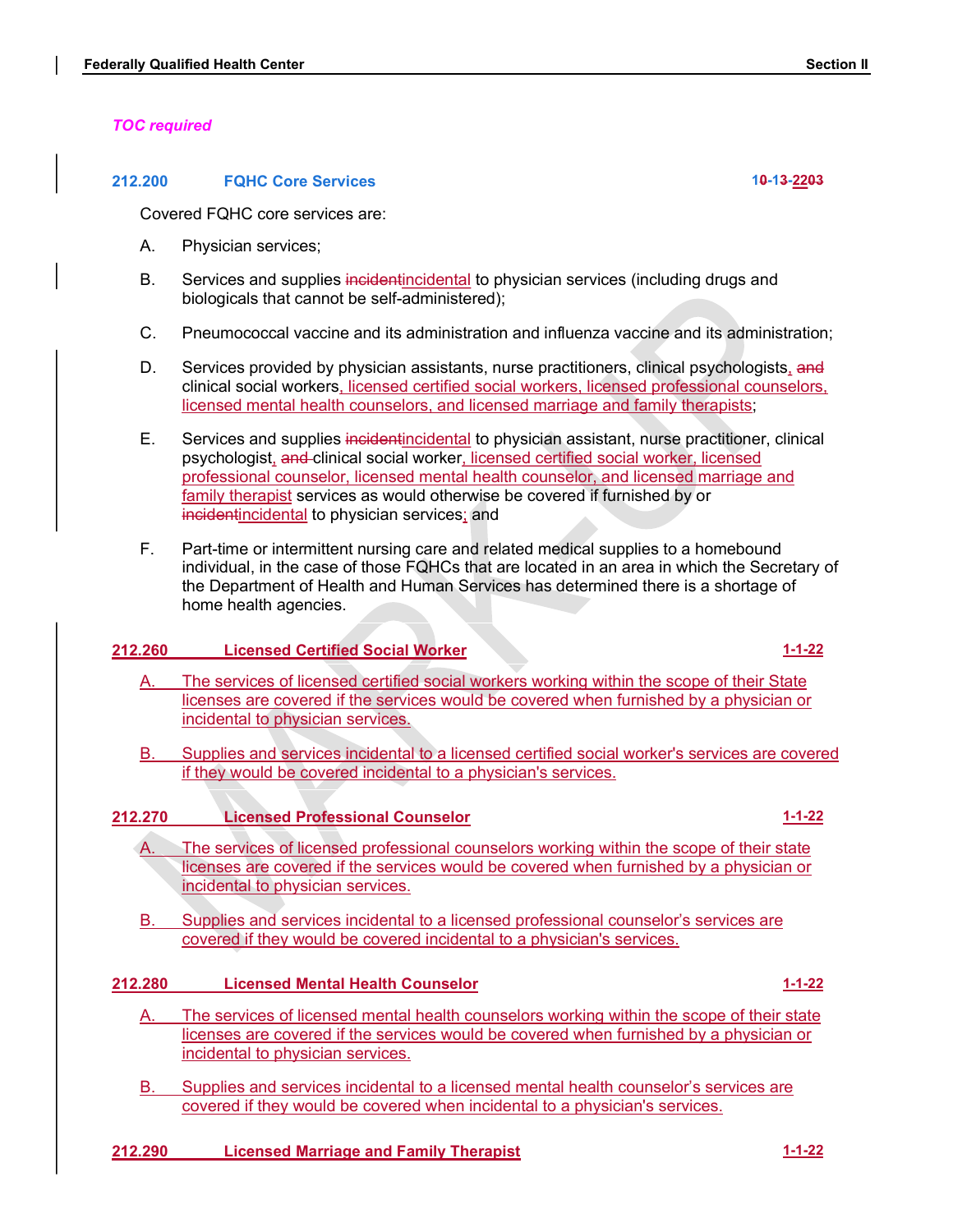# TOC required

## 212.200 FQHC Core Services 10-13-2203

Covered FQHC core services are:

- A. Physician services;
- B. Services and supplies incidentincidental to physician services (including drugs and biologicals that cannot be self-administered);
- C. Pneumococcal vaccine and its administration and influenza vaccine and its administration;
- Characteristics of the Services provided by physician assistants, nurse provided by physician services provided by physician services (including drugs and biologicals that cannot be self-administered);<br>
B. Services and sup clinical social workers, licensed certified social workers, licensed professional counselors, licensed mental health counselors, and licensed marriage and family therapists;
- E. Services and supplies incidentincidental to physician assistant, nurse practitioner, clinical Fied Health Center<br>
FOHC Core Services<br>
FOHC Core Services<br>
EP FOHC Core Services<br>
FP Fiestical social social workers<br>
EP Fiestical social workers<br>
EP FIES incidential to physician services (including drugs and<br>
Services a professional counselor, licensed mental health counselor, and licensed marriage and family therapist services as would otherwise be covered if furnished by or incidentincidental to physician services; and Services provided by physician assistants, hurse practitioners, clinical social workers, licensed professional counselors,<br>idensed mental health counselors, and licensed marriage and family therapists;<br>idensed mental healt Experimental control of the services are alternal to a licensed professional counselors are the scope of the scope of the services as would otherwise be covered if furnished by or<br>
family the rapids revices as would otherw
- F. Part-time or intermittent nursing care and related medical supplies to a homebound individual, in the case of those FQHCs that are located in an area in which the Secretary of the Department of Health and Human Services has determined there is a shortage of home health agencies.

# 212.260 Licensed Certified Social Worker 11.1-22 and 1.1-22

- A. The services of licensed certified social workers working within the scope of their State licenses are covered if the services would be covered when furnished by a physician or incidental to physician services.
- B. Supplies and services incidental to a licensed certified social worker's services are covered

# 212.270 Licensed Professional Counselor 1-1-22

- licenses are covered if the services would be covered when furnished by a physician or incidental to physician services.
- B. Supplies and services incidental to a licensed professional counselor's services are covered if they would be covered incidental to a physician's services.

# 212.280 Licensed Mental Health Counselor 1996 and 1996 1-1-22

- A. The services of licensed mental health counselors working within the scope of their state licenses are covered if the services would be covered when furnished by a physician or incidental to physician services.
- B. Supplies and services incidental to a licensed mental health counselor's services are covered if they would be covered when incidental to a physician's services.
- 212.290 Licensed Marriage and Family Therapist 1-1-22 212.290 1-1-22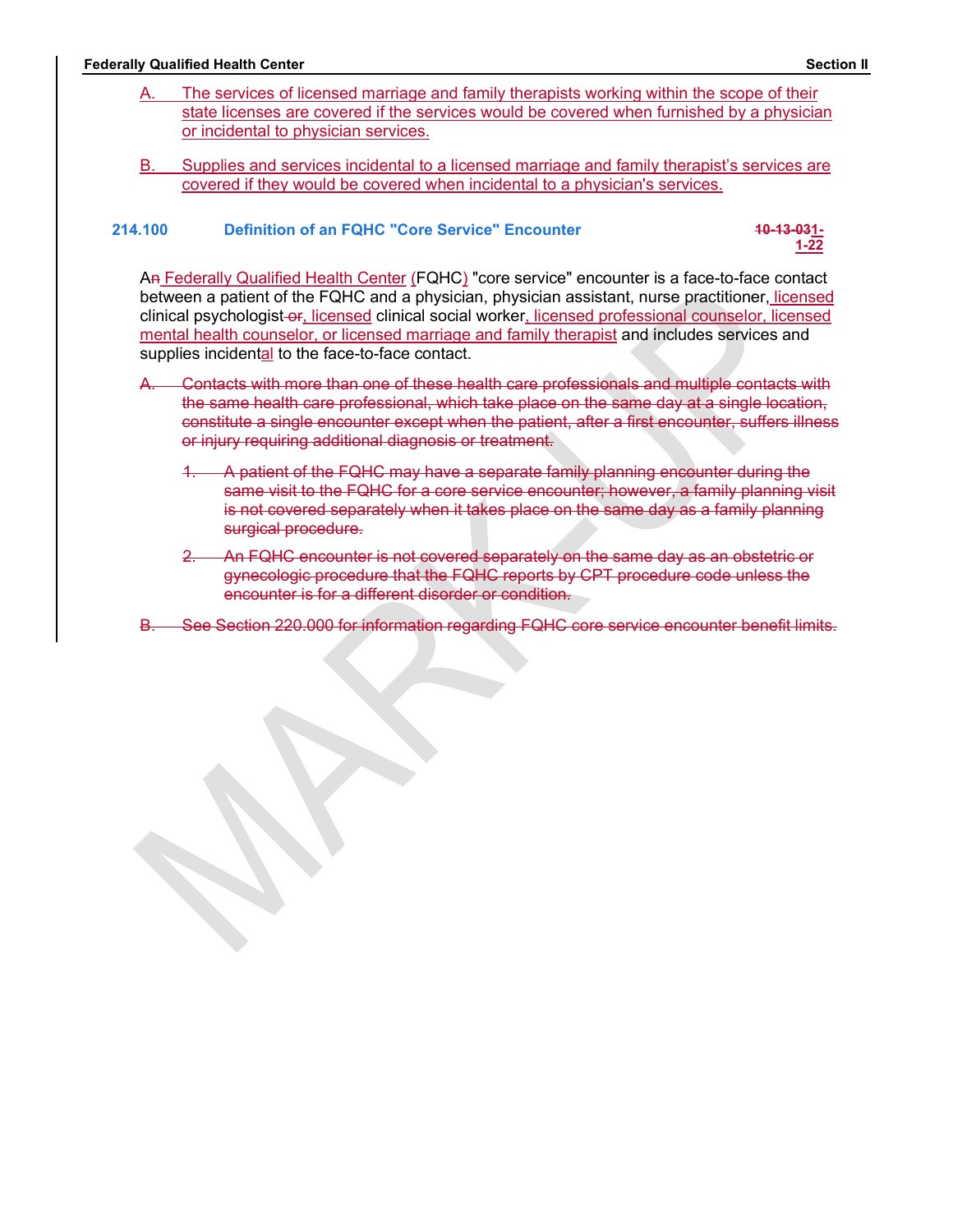- Federally Qualified Health Center<br>
A. The services of licensed marriage and family therapists working within the scope of their<br>
state licenses are covered if the services would be covered when furnished by a physician<br>
or The services of licensed marriage and family therapists working within the scope of their state licensed marriage and family therapists working within the scope of their<br>state licenses are covered if the services would be covered when furnished by a physician<br>or incidental to physician services.<br>Supplies and se The services of licensed marriage and family therapists working within the scope of<br>state licenses are covered if the services would be covered when furnished by a phy<br>or incidental to physician services.<br>Supplies and serv
	- B. Supplies and services incidental to a licensed marriage and family therapist's services are covered if they would be covered when incidental to a physician's services.

# 214.100 Definition of an FQHC "Core Service" Encounter 10-13-031-1-22<br>1-22

1-22

Section II<br>
A. The services of licensed marriage and family therapists working within the scope of their<br>
state licenses are covered if the services would be covered when furnished by a physician<br>
Dr incidental to physicia between a patient of the FQHC and a physician, physician assistant, nurse practitioner, licensed clinical psychologist or, licensed clinical social worker, licensed professional counselor, licensed mental health counselor, or licensed marriage and family therapist and includes services and supplies incidental to the face-to-face contact.

- A. Contacts with more than one of these health care professionals and multiple contacts with the same health care professional, which take place on the same day at a single location, constitute a single encounter except when the patient, after a first encounter, suffers illness or injury requiring additional diagnosis or treatment.
	- 1. A patient of the FQHC may have a separate family planning encounter during the same visit to the FQHC for a core service encounter; however, a family planning visit is not covered separately when it takes place on the same day as a family planning surgical procedure.
	- 2. An FQHC encounter is not covered separately on the same day as an obstetric or gynecologic procedure that the FQHC reports by CPT procedure code unless the encounter is for a different disorder or condition.
- B. See Section 220.000 for information regarding FQHC core service encounter benefit limits.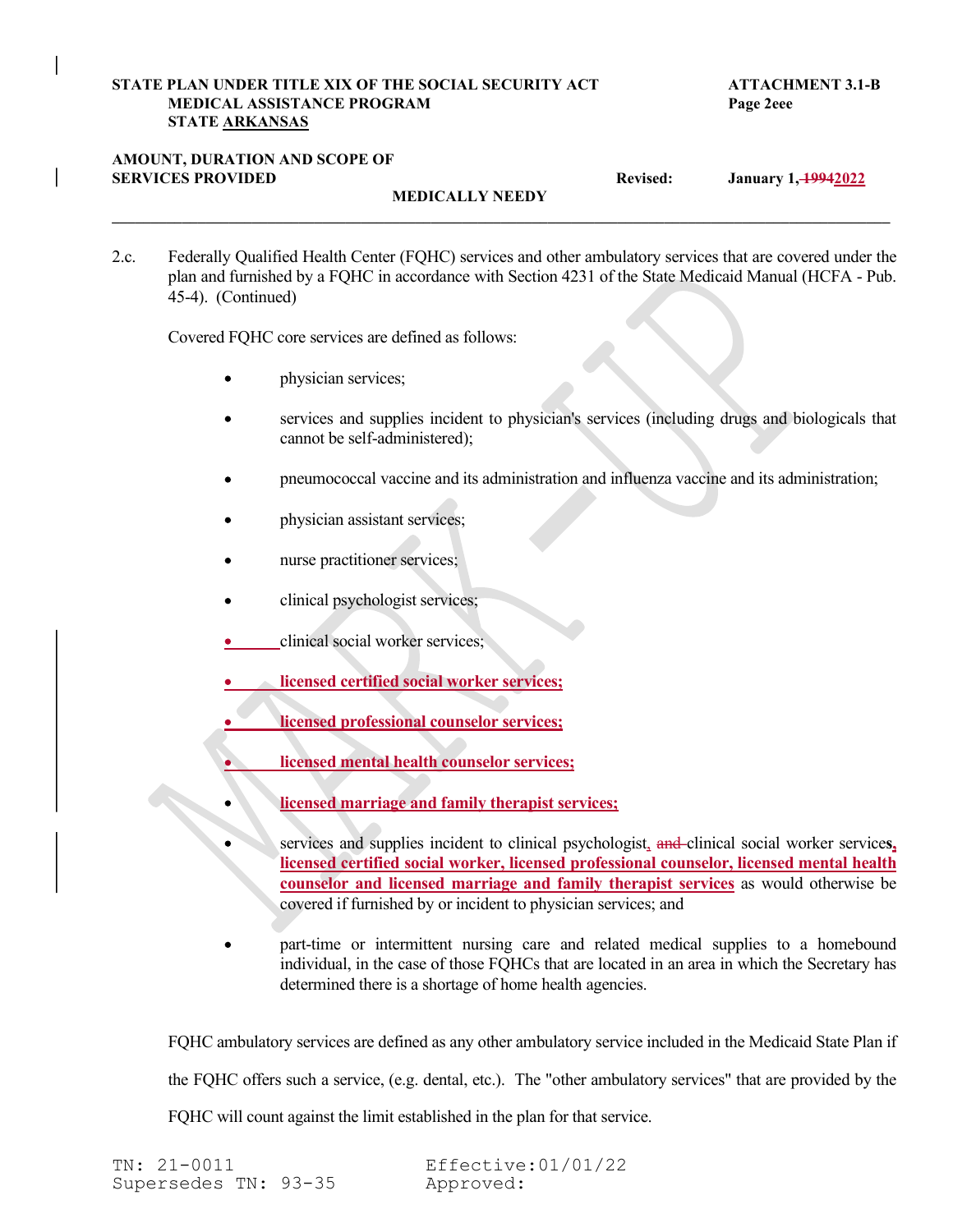# STATE PLAN UNDER TITLE XIX OF THE SOCIAL SECURITY ACT<br>
MEDICAL ASSISTANCE PROGRAM<br>
STATE <u>ARKANSAS</u><br>
AMOUNT, DURATION AND SCOPE OF<br>
SERVICES PROVIDED<br>
Revised: January 1, <del>1994</del>2022 MEDICAL ASSISTANCE PROGRAM Page 2eee STATE ARKANSAS

# AMOUNT, DURATION AND SCOPE OF

MEDICALLY NEEDY

STATE PLAN UNDER TITLE XIX OF THE SOCIAL SECURITY ACT<br>
MEDICAL ASSISTANCE PROGRAM<br>
STATE <u>ARKANSAS</u><br>
STATE ARKANSAS<br>
STATE ARKANSAS<br>
STATE PLAN AND SCOPE OF<br>
MEDICALLY NEEDY<br>
MEDICALLY NEEDY<br>
2.c. Federally Qualified Healt 2.c. Federally Qualified Health Center (FQHC) services and other ambulatory services that are covered under the plan and furnished by a FQHC in accordance with Section 4231 of the State Medicaid Manual (HCFA - Pub. 45-4). (Continued)

 $\mathcal{L}_\mathcal{L} = \mathcal{L}_\mathcal{L} = \mathcal{L}_\mathcal{L} = \mathcal{L}_\mathcal{L} = \mathcal{L}_\mathcal{L} = \mathcal{L}_\mathcal{L} = \mathcal{L}_\mathcal{L} = \mathcal{L}_\mathcal{L} = \mathcal{L}_\mathcal{L} = \mathcal{L}_\mathcal{L} = \mathcal{L}_\mathcal{L} = \mathcal{L}_\mathcal{L} = \mathcal{L}_\mathcal{L} = \mathcal{L}_\mathcal{L} = \mathcal{L}_\mathcal{L} = \mathcal{L}_\mathcal{L} = \mathcal{L}_\mathcal{L}$ 

Covered FQHC core services are defined as follows:

- physician services;
- services and supplies incident to physician's services (including drugs and biologicals that cannot be self-administered);
- pneumococcal vaccine and its administration and influenza vaccine and its administration;
- physician assistant services;
- nurse practitioner services;
- clinical psychologist services;
- clinical social worker services;
- licensed certified social worker services;
- licensed professional counselor services;
- licensed mental health counselor services;
	-
- services and supplies incident to physician's services (including drugs and biologicals that<br>cannot be self-administered);<br>physician assistant services;<br>physician assistant services;<br>physician assistant services;<br>services; services and supplies incident to clinical psychologist, and clinical social worker services, licensed certified social worker, licensed professional counselor, licensed mental health counselor and licensed marriage and family therapist services as would otherwise be covered if furnished by or incident to physician services; and
- part-time or intermittent nursing care and related medical supplies to a homebound individual, in the case of those FQHCs that are located in an area in which the Secretary has determined there is a shortage of home health agencies.

FQHC ambulatory services are defined as any other ambulatory service included in the Medicaid State Plan if the FQHC offers such a service, (e.g. dental, etc.). The "other ambulatory services" that are provided by the FQHC will count against the limit established in the plan for that service.

TN: 21-0011 Effective:01/01/22 Supersedes TN: 93-35 Approved: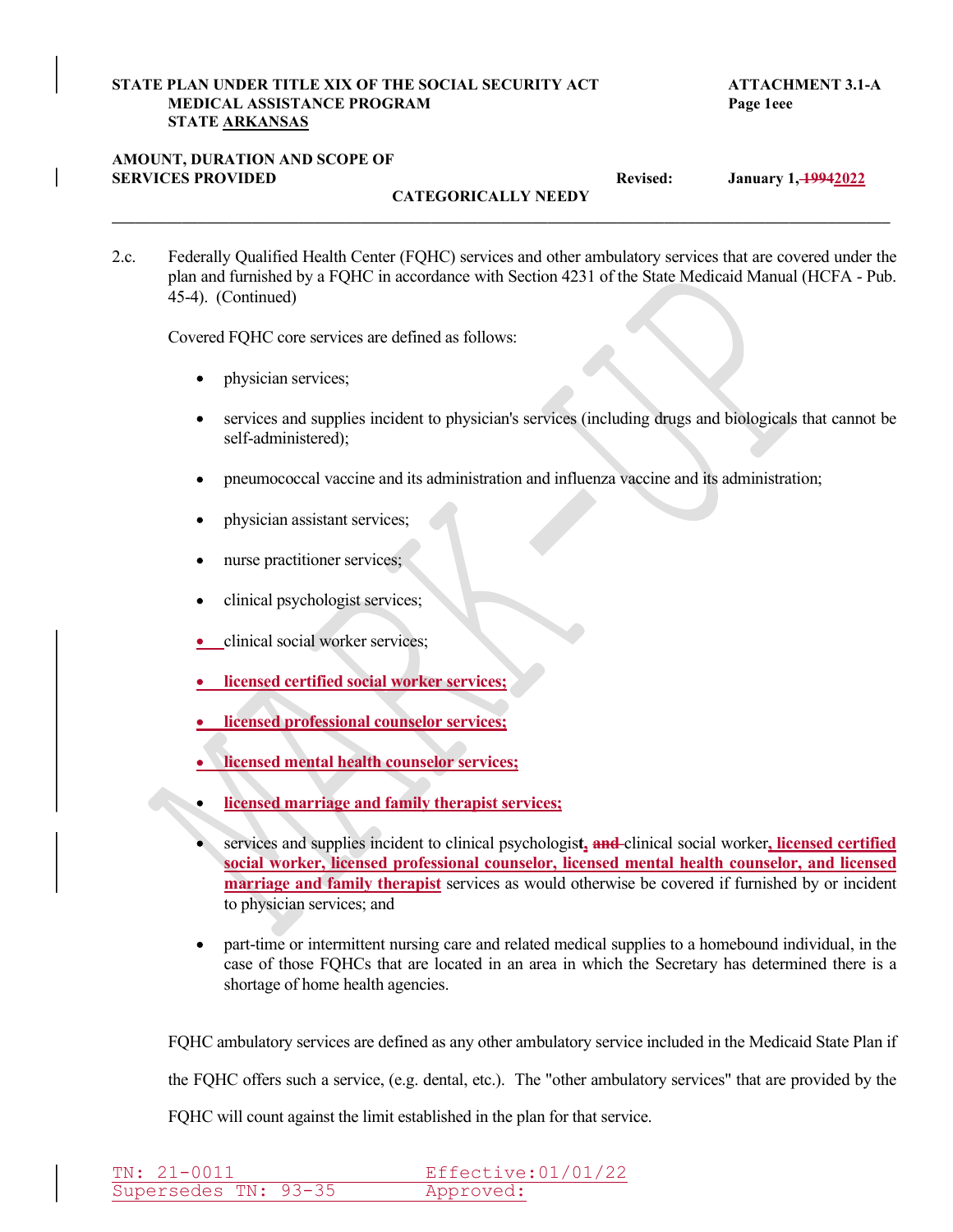# STATE PLAN UNDER TITLE XIX OF THE SOCIAL SECURITY ACT<br>
MEDICAL ASSISTANCE PROGRAM<br>
STATE <u>ARKANSAS</u><br>
AMOUNT, DURATION AND SCOPE OF<br>
SERVICES PROVIDED<br>
Revised: January 1, <del>1994</del>2022 MEDICAL ASSISTANCE PROGRAM PAGE 2008 Page 1eee STATE ARKANSAS

# AMOUNT, DURATION AND SCOPE OF

CATEGORICALLY NEEDY

STATE PLAN UNDER TITLE XIX OF THE SOCIAL SECURITY ACT<br>
MEDICAL ASSISTANCE PROGRAM<br>
STATE <u>ARKANSAS</u><br>
STATE ARKANSAS<br>
AMOUNT, DURATION AND SCOPE OF<br>
CATEGORICALLY NEEDY<br>
CATEGORICALLY NEEDY<br>
2.c. Federally Qualified Health 2.c. Federally Qualified Health Center (FQHC) services and other ambulatory services that are covered under the plan and furnished by a FQHC in accordance with Section 4231 of the State Medicaid Manual (HCFA - Pub. 45-4). (Continued)

 $\mathcal{L}_\mathcal{L} = \mathcal{L}_\mathcal{L} = \mathcal{L}_\mathcal{L} = \mathcal{L}_\mathcal{L} = \mathcal{L}_\mathcal{L} = \mathcal{L}_\mathcal{L} = \mathcal{L}_\mathcal{L} = \mathcal{L}_\mathcal{L} = \mathcal{L}_\mathcal{L} = \mathcal{L}_\mathcal{L} = \mathcal{L}_\mathcal{L} = \mathcal{L}_\mathcal{L} = \mathcal{L}_\mathcal{L} = \mathcal{L}_\mathcal{L} = \mathcal{L}_\mathcal{L} = \mathcal{L}_\mathcal{L} = \mathcal{L}_\mathcal{L}$ 

Covered FQHC core services are defined as follows:

- physician services;  $\bullet$
- services and supplies incident to physician's services (including drugs and biologicals that cannot be self-administered);
- pneumococcal vaccine and its administration and influenza vaccine and its administration;  $\bullet$
- physician assistant services;
- nurse practitioner services;
- clinical psychologist services;  $\bullet$
- clinical social worker services;
- **.** licensed certified social worker services;
- licensed professional counselor services;
- licensed mental health counselor services;
- licensed marriage and family therapist services;  $\bullet$
- services and supplies incident to clinical psychologist, and clinical social worker, licensed certified social worker, licensed professional counselor, licensed mental health counselor, and licensed marriage and family therapist services as would otherwise be covered if furnished by or incident to physician services; and
- part-time or intermittent nursing care and related medical supplies to a homebound individual, in the  $\bullet$ case of those FQHCs that are located in an area in which the Secretary has determined there is a shortage of home health agencies.

FQHC ambulatory services are defined as any other ambulatory service included in the Medicaid State Plan if

the FQHC offers such a service, (e.g. dental, etc.). The "other ambulatory services" that are provided by the

FQHC will count against the limit established in the plan for that service.

| $TN: 21-0011$        | Effective:01/01/22 |
|----------------------|--------------------|
| Supersedes TN: 93-35 | Approved:          |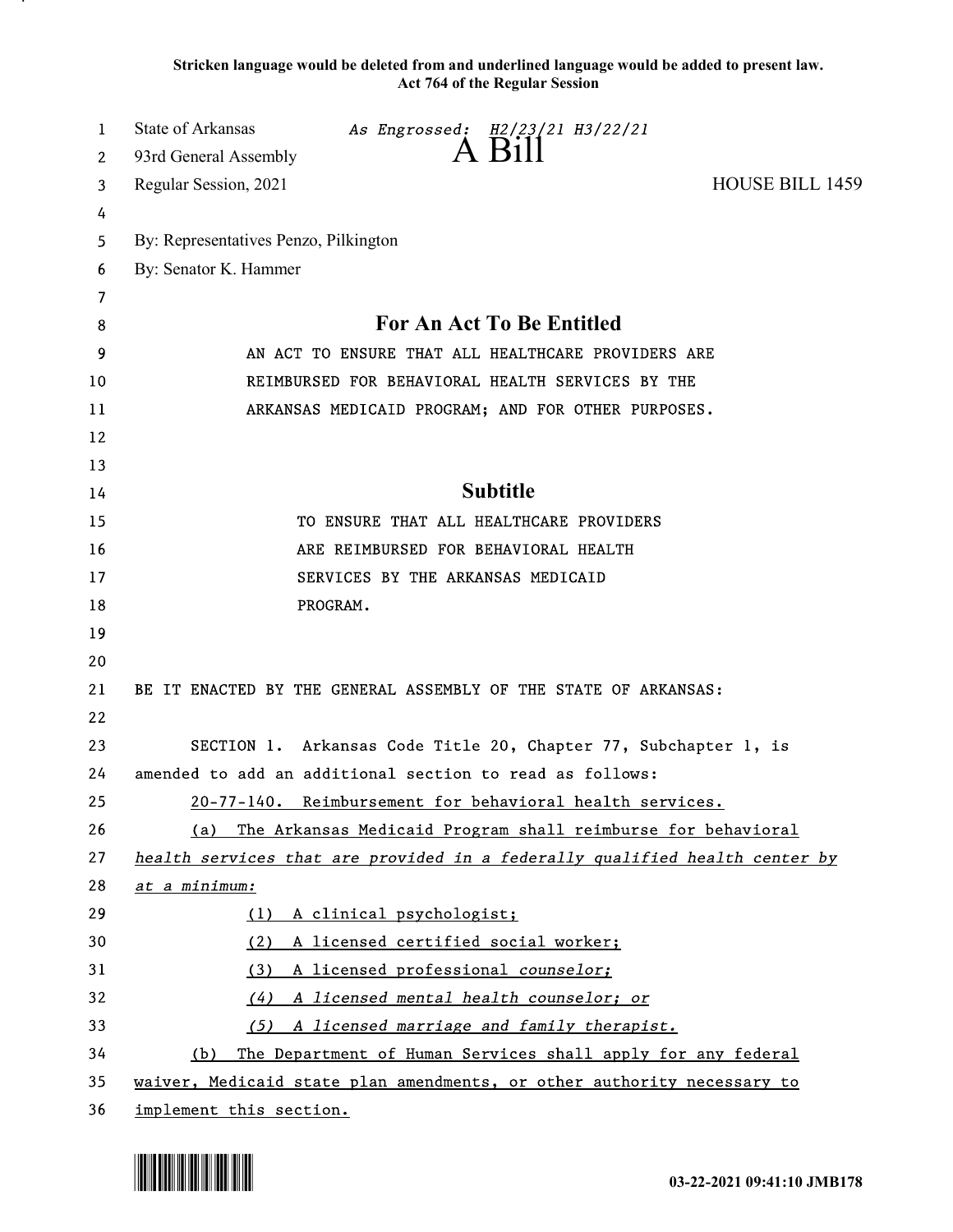Stricken language would be deleted from and underlined language would be added to present law. Act 764 of the Regular Session

| 1      | State of Arkansas<br>As Engrossed: H2/23/21 H3/22/21                        |
|--------|-----------------------------------------------------------------------------|
| 2      | 93rd General Assembly<br><b>HOUSE BILL 1459</b>                             |
| 3      | Regular Session, 2021                                                       |
| 4      | By: Representatives Penzo, Pilkington                                       |
| 5<br>6 | By: Senator K. Hammer                                                       |
| 7      |                                                                             |
| 8      | For An Act To Be Entitled                                                   |
| 9      | AN ACT TO ENSURE THAT ALL HEALTHCARE PROVIDERS ARE                          |
| 10     | REIMBURSED FOR BEHAVIORAL HEALTH SERVICES BY THE                            |
| 11     | ARKANSAS MEDICAID PROGRAM; AND FOR OTHER PURPOSES.                          |
| 12     |                                                                             |
| 13     |                                                                             |
| 14     | <b>Subtitle</b>                                                             |
| 15     | TO ENSURE THAT ALL HEALTHCARE PROVIDERS                                     |
| 16     | ARE REIMBURSED FOR BEHAVIORAL HEALTH                                        |
| 17     | SERVICES BY THE ARKANSAS MEDICAID                                           |
| 18     | PROGRAM.                                                                    |
| 19     |                                                                             |
| 20     |                                                                             |
| 21     | BE IT ENACTED BY THE GENERAL ASSEMBLY OF THE STATE OF ARKANSAS:             |
| 22     |                                                                             |
| 23     | SECTION 1. Arkansas Code Title 20, Chapter 77, Subchapter 1, is             |
| 24     | amended to add an additional section to read as follows:                    |
| 25     | 20-77-140. Reimbursement for behavioral health services.                    |
| 26     | The Arkansas Medicaid Program shall reimburse for behavioral<br>(a)         |
| 27     | health services that are provided in a federally qualified health center by |
| 28     | at a minimum:                                                               |
| 29     | A clinical psychologist;<br>(1)                                             |
| 30     | A licensed certified social worker;<br>(2)                                  |
| 31     | A licensed professional counselor;<br>(3)                                   |
| 32     | A licensed mental health counselor; or<br>(4)                               |
| 33     | A licensed marriage and family therapist.<br>(5)                            |
| 34     | The Department of Human Services shall apply for any federal<br>(b)         |
| 35     | waiver, Medicaid state plan amendments, or other authority necessary to     |
| 36     | implement this section.                                                     |